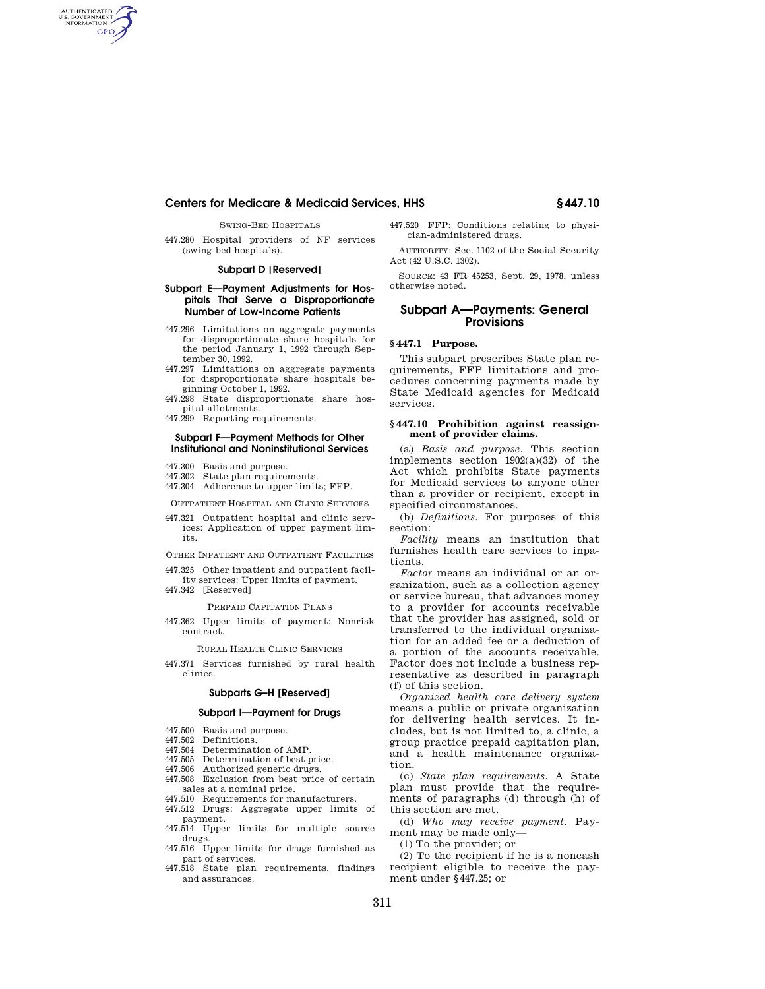# **Centers for Medicare & Medicaid Services, HHS § 447.10**

SWING-BED HOSPITALS

AUTHENTICATED<br>U.S. GOVERNMENT<br>INFORMATION **GPO** 

> 447.280 Hospital providers of NF services (swing-bed hospitals).

## **Subpart D [Reserved]**

## **Subpart E—Payment Adjustments for Hospitals That Serve a Disproportionate Number of Low-Income Patients**

- 447.296 Limitations on aggregate payments for disproportionate share hospitals for the period January 1, 1992 through September 30, 1992.
- 447.297 Limitations on aggregate payments for disproportionate share hospitals beginning October 1, 1992.
- 447.298 State disproportionate share hospital allotments.
- 447.299 Reporting requirements.

## **Subpart F—Payment Methods for Other Institutional and Noninstitutional Services**

- 447.300 Basis and purpose.
- 447.302 State plan requirements.
- 447.304 Adherence to upper limits; FFP.

OUTPATIENT HOSPITAL AND CLINIC SERVICES

447.321 Outpatient hospital and clinic services: Application of upper payment limits.

OTHER INPATIENT AND OUTPATIENT FACILITIES

- 447.325 Other inpatient and outpatient facil-
- ity services: Upper limits of payment. 447.342 [Reserved]
	-

## PREPAID CAPITATION PLANS

447.362 Upper limits of payment: Nonrisk contract.

RURAL HEALTH CLINIC SERVICES

447.371 Services furnished by rural health clinics.

#### **Subparts G–H [Reserved]**

## **Subpart I—Payment for Drugs**

- 447.500 Basis and purpose.
- 447.502 Definitions.
- 447.504 Determination of AMP.
- 447.505 Determination of best price.
- 447.506 Authorized generic drugs. 447.508 Exclusion from best price of certain sales at a nominal price.
- 447.510 Requirements for manufacturers.
- 447.512 Drugs: Aggregate upper limits of payment.
- 447.514 Upper limits for multiple source drugs.
- 447.516 Upper limits for drugs furnished as part of services.
- 447.518 State plan requirements, findings and assurances.

447.520 FFP: Conditions relating to physician-administered drugs.

AUTHORITY: Sec. 1102 of the Social Security Act (42 U.S.C. 1302).

SOURCE: 43 FR 45253, Sept. 29, 1978, unless otherwise noted.

## **Subpart A—Payments: General Provisions**

## **§ 447.1 Purpose.**

This subpart prescribes State plan requirements, FFP limitations and procedures concerning payments made by State Medicaid agencies for Medicaid services.

## **§ 447.10 Prohibition against reassignment of provider claims.**

(a) *Basis and purpose.* This section implements section 1902(a)(32) of the Act which prohibits State payments for Medicaid services to anyone other than a provider or recipient, except in specified circumstances.

(b) *Definitions.* For purposes of this section:

*Facility* means an institution that furnishes health care services to inpatients.

*Factor* means an individual or an organization, such as a collection agency or service bureau, that advances money to a provider for accounts receivable that the provider has assigned, sold or transferred to the individual organization for an added fee or a deduction of a portion of the accounts receivable. Factor does not include a business representative as described in paragraph (f) of this section.

*Organized health care delivery system*  means a public or private organization for delivering health services. It includes, but is not limited to, a clinic, a group practice prepaid capitation plan, and a health maintenance organization.

(c) *State plan requirements.* A State plan must provide that the requirements of paragraphs (d) through (h) of this section are met.

(d) *Who may receive payment.* Payment may be made only—

(1) To the provider; or

(2) To the recipient if he is a noncash recipient eligible to receive the payment under §447.25; or